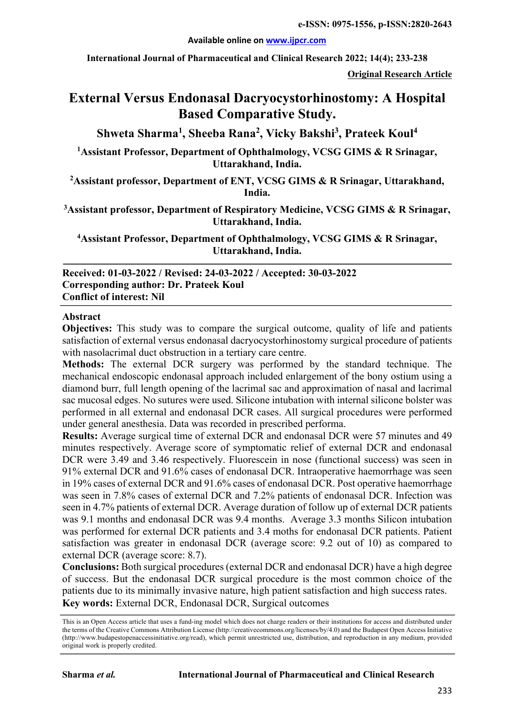#### **Available online on www.ijpcr.com**

**International Journal of Pharmaceutical and Clinical Research 2022; 14(4); 233-238**

**Original Research Article**

# **External Versus Endonasal Dacryocystorhinostomy: A Hospital Based Comparative Study.**

**Shweta Sharma1 , Sheeba Rana2 , Vicky Bakshi3 , Prateek Koul4**

**1 Assistant Professor, Department of Ophthalmology, VCSG GIMS & R Srinagar, Uttarakhand, India.**

**2 Assistant professor, Department of ENT, VCSG GIMS & R Srinagar, Uttarakhand, India.**

**3 Assistant professor, Department of Respiratory Medicine, VCSG GIMS & R Srinagar, Uttarakhand, India.**

**4 Assistant Professor, Department of Ophthalmology, VCSG GIMS & R Srinagar, Uttarakhand, India.**

**Received: 01-03-2022 / Revised: 24-03-2022 / Accepted: 30-03-2022 Corresponding author: Dr. Prateek Koul Conflict of interest: Nil**

#### **Abstract**

**Objectives:** This study was to compare the surgical outcome, quality of life and patients satisfaction of external versus endonasal dacryocystorhinostomy surgical procedure of patients with nasolacrimal duct obstruction in a tertiary care centre.

**Methods:** The external DCR surgery was performed by the standard technique. The mechanical endoscopic endonasal approach included enlargement of the bony ostium using a diamond burr, full length opening of the lacrimal sac and approximation of nasal and lacrimal sac mucosal edges. No sutures were used. Silicone intubation with internal silicone bolster was performed in all external and endonasal DCR cases. All surgical procedures were performed under general anesthesia. Data was recorded in prescribed performa.

**Results:** Average surgical time of external DCR and endonasal DCR were 57 minutes and 49 minutes respectively. Average score of symptomatic relief of external DCR and endonasal DCR were 3.49 and 3.46 respectively. Fluorescein in nose (functional success) was seen in 91% external DCR and 91.6% cases of endonasal DCR. Intraoperative haemorrhage was seen in 19% cases of external DCR and 91.6% cases of endonasal DCR. Post operative haemorrhage was seen in 7.8% cases of external DCR and 7.2% patients of endonasal DCR. Infection was seen in 4.7% patients of external DCR. Average duration of follow up of external DCR patients was 9.1 months and endonasal DCR was 9.4 months. Average 3.3 months Silicon intubation was performed for external DCR patients and 3.4 moths for endonasal DCR patients. Patient satisfaction was greater in endonasal DCR (average score: 9.2 out of 10) as compared to external DCR (average score: 8.7).

**Conclusions:** Both surgical procedures (external DCR and endonasal DCR) have a high degree of success. But the endonasal DCR surgical procedure is the most common choice of the patients due to its minimally invasive nature, high patient satisfaction and high success rates. **Key words:** External DCR, Endonasal DCR, Surgical outcomes

This is an Open Access article that uses a fund-ing model which does not charge readers or their institutions for access and distributed under the terms of the Creative Commons Attribution License (http://creativecommons.org/licenses/by/4.0) and the Budapest Open Access Initiative (http://www.budapestopenaccessinitiative.org/read), which permit unrestricted use, distribution, and reproduction in any medium, provided original work is properly credited.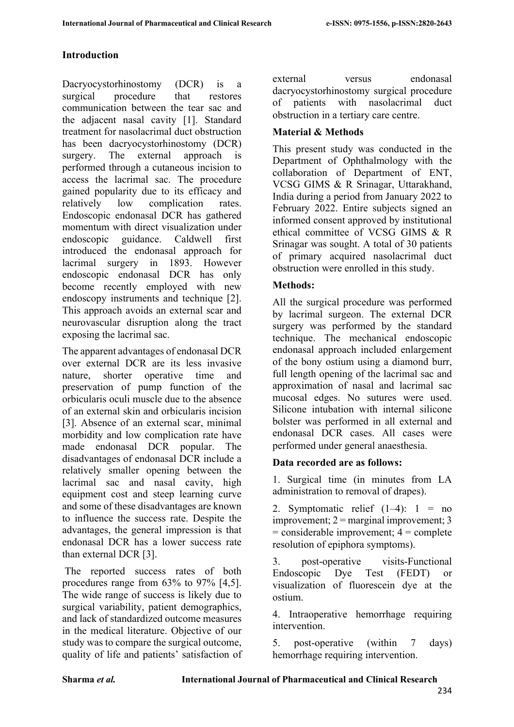# **Introduction**

Dacryocystorhinostomy (DCR) is a surgical procedure that restores communication between the tear sac and the adjacent nasal cavity [1]. Standard treatment for nasolacrimal duct obstruction has been dacryocystorhinostomy (DCR) surgery. The external approach is performed through a cutaneous incision to access the lacrimal sac. The procedure gained popularity due to its efficacy and relatively low complication rates. Endoscopic endonasal DCR has gathered momentum with direct visualization under endoscopic guidance. Caldwell first introduced the endonasal approach for lacrimal surgery in 1893. However endoscopic endonasal DCR has only become recently employed with new endoscopy instruments and technique [2]. This approach avoids an external scar and neurovascular disruption along the tract exposing the lacrimal sac.

The apparent advantages of endonasal DCR over external DCR are its less invasive nature, shorter operative time and preservation of pump function of the orbicularis oculi muscle due to the absence of an external skin and orbicularis incision [3]. Absence of an external scar, minimal morbidity and low complication rate have made endonasal DCR popular. The disadvantages of endonasal DCR include a relatively smaller opening between the lacrimal sac and nasal cavity, high equipment cost and steep learning curve and some of these disadvantages are known to influence the success rate. Despite the advantages, the general impression is that endonasal DCR has a lower success rate than external DCR [3].

The reported success rates of both procedures range from 63% to 97% [4,5]. The wide range of success is likely due to surgical variability, patient demographics, and lack of standardized outcome measures in the medical literature. Objective of our study was to compare the surgical outcome, quality of life and patients' satisfaction of external versus endonasal dacryocystorhinostomy surgical procedure of patients with nasolacrimal duct obstruction in a tertiary care centre.

# **Material & Methods**

This present study was conducted in the Department of Ophthalmology with the collaboration of Department of ENT, VCSG GIMS & R Srinagar, Uttarakhand, India during a period from January 2022 to February 2022. Entire subjects signed an informed consent approved by institutional ethical committee of VCSG GIMS & R Srinagar was sought. A total of 30 patients of primary acquired nasolacrimal duct obstruction were enrolled in this study.

# **Methods:**

All the surgical procedure was performed by lacrimal surgeon. The external DCR surgery was performed by the standard technique. The mechanical endoscopic endonasal approach included enlargement of the bony ostium using a diamond burr, full length opening of the lacrimal sac and approximation of nasal and lacrimal sac mucosal edges. No sutures were used. Silicone intubation with internal silicone bolster was performed in all external and endonasal DCR cases. All cases were performed under general anaesthesia.

### **Data recorded are as follows:**

1. Surgical time (in minutes from LA administration to removal of drapes).

2. Symptomatic relief  $(1-4)$ : 1 = no improvement;  $2 =$  marginal improvement; 3  $=$  considerable improvement;  $4 =$  complete resolution of epiphora symptoms).

3. post-operative visits-Functional Endoscopic Dye Test (FEDT) or visualization of fluorescein dye at the ostium.

4. Intraoperative hemorrhage requiring intervention.

5. post-operative (within 7 days) hemorrhage requiring intervention.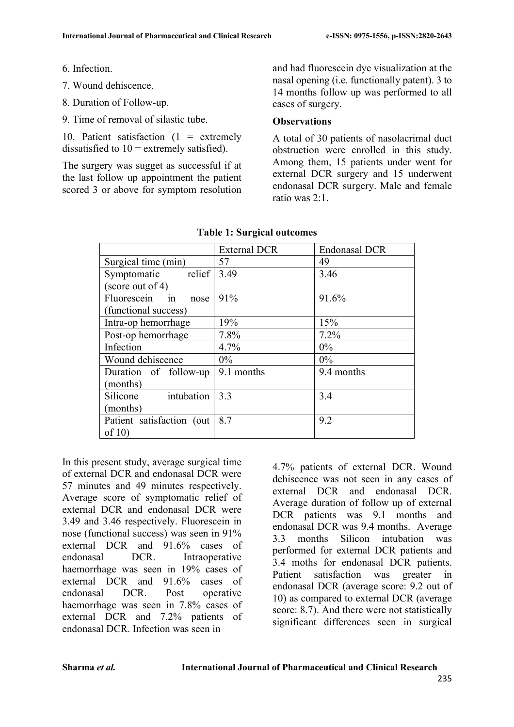- 6. Infection.
- 7. Wound dehiscence.
- 8. Duration of Follow-up.
- 9. Time of removal of silastic tube.

10. Patient satisfaction  $(1 =$  extremely dissatisfied to  $10 =$  extremely satisfied).

The surgery was sugget as successful if at the last follow up appointment the patient scored 3 or above for symptom resolution and had fluorescein dye visualization at the nasal opening (i.e. functionally patent). 3 to 14 months follow up was performed to all cases of surgery.

#### **Observations**

A total of 30 patients of nasolacrimal duct obstruction were enrolled in this study. Among them, 15 patients under went for external DCR surgery and 15 underwent endonasal DCR surgery. Male and female ratio was 2:1.

|                           | <b>External DCR</b> | <b>Endonasal DCR</b> |
|---------------------------|---------------------|----------------------|
| Surgical time (min)       | 57                  | 49                   |
| relief<br>Symptomatic     | 3.49                | 3.46                 |
| (score out of 4)          |                     |                      |
| Fluorescein<br>in<br>nose | 91%                 | 91.6%                |
| (functional success)      |                     |                      |
| Intra-op hemorrhage       | 19%                 | 15%                  |
| Post-op hemorrhage        | 7.8%                | 7.2%                 |
| Infection                 | 4.7%                | $0\%$                |
| Wound dehiscence          | $0\%$               | $0\%$                |
| Duration of follow-up     | 9.1 months          | 9.4 months           |
| (months)                  |                     |                      |
| intubation<br>Silicone    | 3.3                 | 3.4                  |
| (months)                  |                     |                      |
| Patient satisfaction (out | 8.7                 | 9.2                  |
| of $10$                   |                     |                      |

#### **Table 1: Surgical outcomes**

In this present study, average surgical time of external DCR and endonasal DCR were 57 minutes and 49 minutes respectively. Average score of symptomatic relief of external DCR and endonasal DCR were 3.49 and 3.46 respectively. Fluorescein in nose (functional success) was seen in 91% external DCR and 91.6% cases of endonasal DCR. Intraoperative haemorrhage was seen in 19% cases of external DCR and 91.6% cases of endonasal DCR. Post operative haemorrhage was seen in 7.8% cases of external DCR and 7.2% patients of endonasal DCR. Infection was seen in

4.7% patients of external DCR. Wound dehiscence was not seen in any cases of external DCR and endonasal DCR. Average duration of follow up of external DCR patients was 9.1 months and endonasal DCR was 9.4 months. Average 3.3 months Silicon intubation was performed for external DCR patients and 3.4 moths for endonasal DCR patients. Patient satisfaction was greater in endonasal DCR (average score: 9.2 out of 10) as compared to external DCR (average score: 8.7). And there were not statistically significant differences seen in surgical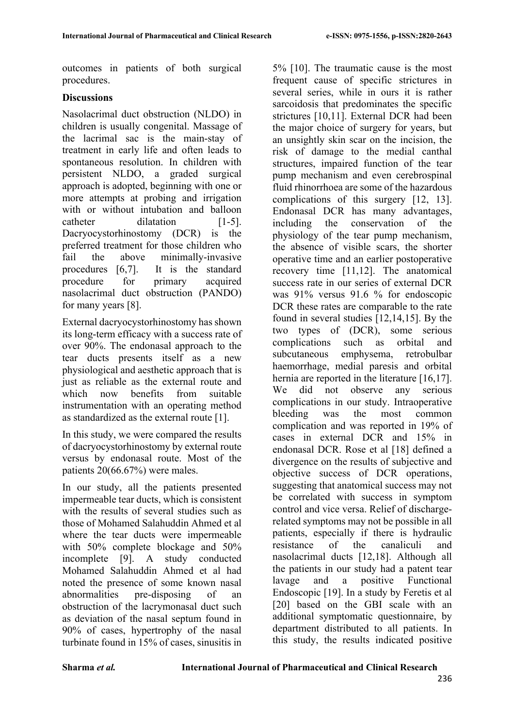outcomes in patients of both surgical procedures.

### **Discussions**

Nasolacrimal duct obstruction (NLDO) in children is usually congenital. Massage of the lacrimal sac is the main-stay of treatment in early life and often leads to spontaneous resolution. In children with persistent NLDO, a graded surgical approach is adopted, beginning with one or more attempts at probing and irrigation with or without intubation and balloon catheter dilatation [1-5]. Dacryocystorhinostomy (DCR) is the preferred treatment for those children who fail the above minimally-invasive procedures [6,7]. It is the standard procedure for primary acquired nasolacrimal duct obstruction (PANDO) for many years [8].

External dacryocystorhinostomy has shown its long-term efficacy with a success rate of over 90%. The endonasal approach to the tear ducts presents itself as a new physiological and aesthetic approach that is just as reliable as the external route and which now benefits from suitable instrumentation with an operating method as standardized as the external route [1].

In this study, we were compared the results of dacryocystorhinostomy by external route versus by endonasal route. Most of the patients 20(66.67%) were males.

In our study, all the patients presented impermeable tear ducts, which is consistent with the results of several studies such as those of Mohamed Salahuddin Ahmed et al where the tear ducts were impermeable with 50% complete blockage and 50% incomplete [9]. A study conducted Mohamed Salahuddin Ahmed et al had noted the presence of some known nasal abnormalities pre-disposing of an obstruction of the lacrymonasal duct such as deviation of the nasal septum found in 90% of cases, hypertrophy of the nasal turbinate found in 15% of cases, sinusitis in

5% [10]. The traumatic cause is the most frequent cause of specific strictures in several series, while in ours it is rather sarcoidosis that predominates the specific strictures [10,11]. External DCR had been the major choice of surgery for years, but an unsightly skin scar on the incision, the risk of damage to the medial canthal structures, impaired function of the tear pump mechanism and even cerebrospinal fluid rhinorrhoea are some of the hazardous complications of this surgery [12, 13]. Endonasal DCR has many advantages, including the conservation of the physiology of the tear pump mechanism, the absence of visible scars, the shorter operative time and an earlier postoperative recovery time [11,12]. The anatomical success rate in our series of external DCR was 91% versus 91.6 % for endoscopic DCR these rates are comparable to the rate found in several studies [12,14,15]. By the two types of (DCR), some serious complications such as orbital and subcutaneous emphysema, retrobulbar haemorrhage, medial paresis and orbital hernia are reported in the literature [16,17]. We did not observe any serious complications in our study. Intraoperative bleeding was the most common complication and was reported in 19% of cases in external DCR and 15% in endonasal DCR. Rose et al [18] defined a divergence on the results of subjective and objective success of DCR operations, suggesting that anatomical success may not be correlated with success in symptom control and vice versa. Relief of dischargerelated symptoms may not be possible in all patients, especially if there is hydraulic resistance of the canaliculi and nasolacrimal ducts [12,18]. Although all the patients in our study had a patent tear lavage and a positive Functional Endoscopic [19]. In a study by Feretis et al [20] based on the GBI scale with an additional symptomatic questionnaire, by department distributed to all patients. In this study, the results indicated positive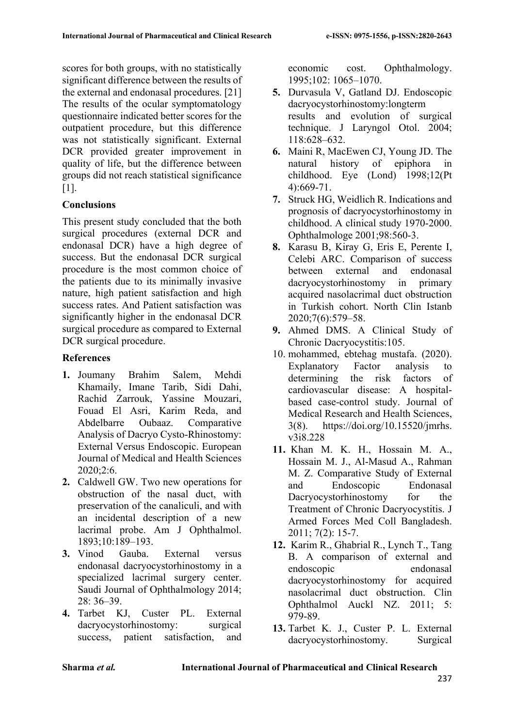scores for both groups, with no statistically significant difference between the results of the external and endonasal procedures. [21] The results of the ocular symptomatology questionnaire indicated better scores for the outpatient procedure, but this difference was not statistically significant. External DCR provided greater improvement in quality of life, but the difference between groups did not reach statistical significance [1].

### **Conclusions**

This present study concluded that the both surgical procedures (external DCR and endonasal DCR) have a high degree of success. But the endonasal DCR surgical procedure is the most common choice of the patients due to its minimally invasive nature, high patient satisfaction and high success rates. And Patient satisfaction was significantly higher in the endonasal DCR surgical procedure as compared to External DCR surgical procedure.

### **References**

- **1.** Joumany Brahim Salem, Mehdi Khamaily, Imane Tarib, Sidi Dahi, Rachid Zarrouk, Yassine Mouzari, Fouad El Asri, Karim Reda, and Abdelbarre Oubaaz. Comparative Analysis of Dacryo Cysto-Rhinostomy: External Versus Endoscopic. European Journal of Medical and Health Sciences 2020;2:6.
- **2.** Caldwell GW. Two new operations for obstruction of the nasal duct, with preservation of the canaliculi, and with an incidental description of a new lacrimal probe. Am J Ophthalmol. 1893;10:189–193.
- **3.** Vinod Gauba. External versus endonasal dacryocystorhinostomy in a specialized lacrimal surgery center. Saudi Journal of Ophthalmology 2014; 28: 36–39.
- **4.** Tarbet KJ, Custer PL. External dacryocystorhinostomy: surgical success, patient satisfaction, and

economic cost. Ophthalmology. 1995;102: 1065–1070.

- **5.** Durvasula V, Gatland DJ. Endoscopic dacryocystorhinostomy:longterm results and evolution of surgical technique. J Laryngol Otol. 2004; 118:628–632.
- **6.** Maini R, MacEwen CJ, Young JD. The natural history of epiphora in childhood. Eye (Lond) 1998;12(Pt 4):669-71.
- **7.** Struck HG, Weidlich R. Indications and prognosis of dacryocystorhinostomy in childhood. A clinical study 1970-2000. Ophthalmologe 2001;98:560-3.
- **8.** Karasu B, Kiray G, Eris E, Perente I, Celebi ARC. Comparison of success between external and endonasal dacryocystorhinostomy in primary acquired nasolacrimal duct obstruction in Turkish cohort. North Clin Istanb 2020;7(6):579–58.
- **9.** Ahmed DMS. A Clinical Study of Chronic Dacryocystitis:105.
- 10. mohammed, ebtehag mustafa. (2020). Explanatory Factor analysis to determining the risk factors of cardiovascular disease: A hospitalbased case-control study. Journal of Medical Research and Health Sciences, 3(8). https://doi.org/10.15520/jmrhs. v3i8.228
- **11.** Khan M. K. H., Hossain M. A., Hossain M. J., Al-Masud A., Rahman M. Z. Comparative Study of External and Endoscopic Endonasal Dacryocystorhinostomy for the Treatment of Chronic Dacryocystitis. J Armed Forces Med Coll Bangladesh. 2011; 7(2): 15-7.
- **12.** Karim R., Ghabrial R., Lynch T., Tang B. A comparison of external and endoscopic endonasal dacryocystorhinostomy for acquired nasolacrimal duct obstruction. Clin Ophthalmol Auckl NZ. 2011; 5: 979-89.
- **13.** Tarbet K. J., Custer P. L. External dacryocystorhinostomy. Surgical